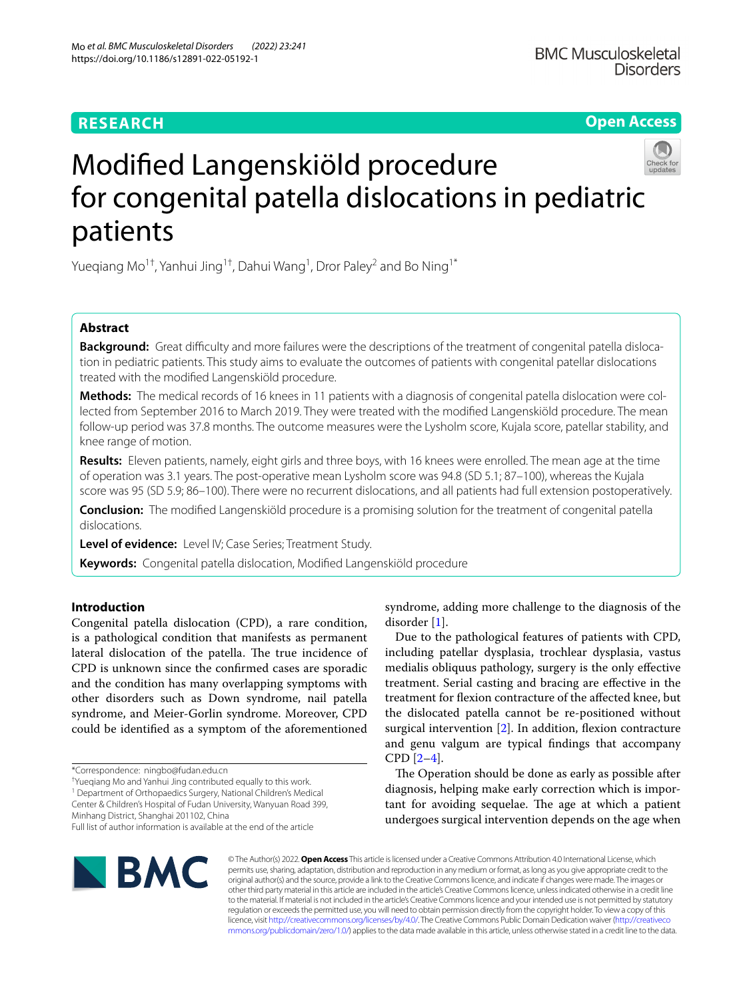# **RESEARCH**

**Open Access**

# Modifed Langenskiöld procedure for congenital patella dislocations in pediatric patients

Yueqiang Mo $^{1\dagger}$ , Yanhui Jing $^{1\dagger}$ , Dahui Wang $^{1}$ , Dror Paley $^2$  and Bo Ning $^{1*}$ 

## **Abstract**

**Background:** Great difficulty and more failures were the descriptions of the treatment of congenital patella dislocation in pediatric patients. This study aims to evaluate the outcomes of patients with congenital patellar dislocations treated with the modifed Langenskiöld procedure.

**Methods:** The medical records of 16 knees in 11 patients with a diagnosis of congenital patella dislocation were collected from September 2016 to March 2019. They were treated with the modifed Langenskiöld procedure. The mean follow-up period was 37.8 months. The outcome measures were the Lysholm score, Kujala score, patellar stability, and knee range of motion.

**Results:** Eleven patients, namely, eight girls and three boys, with 16 knees were enrolled. The mean age at the time of operation was 3.1 years. The post-operative mean Lysholm score was 94.8 (SD 5.1; 87–100), whereas the Kujala score was 95 (SD 5.9; 86–100). There were no recurrent dislocations, and all patients had full extension postoperatively.

**Conclusion:** The modifed Langenskiöld procedure is a promising solution for the treatment of congenital patella dislocations.

**Level of evidence:** Level IV; Case Series; Treatment Study.

**Keywords:** Congenital patella dislocation, Modifed Langenskiöld procedure

## **Introduction**

Congenital patella dislocation (CPD), a rare condition, is a pathological condition that manifests as permanent lateral dislocation of the patella. The true incidence of CPD is unknown since the confrmed cases are sporadic and the condition has many overlapping symptoms with other disorders such as Down syndrome, nail patella syndrome, and Meier-Gorlin syndrome. Moreover, CPD could be identifed as a symptom of the aforementioned

<sup>1</sup> Department of Orthopaedics Surgery, National Children's Medical Center & Children's Hospital of Fudan University, Wanyuan Road 399,

Minhang District, Shanghai 201102, China

**IBMC** 

syndrome, adding more challenge to the diagnosis of the disorder [\[1](#page-5-0)].

Due to the pathological features of patients with CPD, including patellar dysplasia, trochlear dysplasia, vastus medialis obliquus pathology, surgery is the only efective treatment. Serial casting and bracing are efective in the treatment for fexion contracture of the afected knee, but the dislocated patella cannot be re-positioned without surgical intervention  $[2]$  $[2]$ . In addition, flexion contracture and genu valgum are typical fndings that accompany CPD [[2–](#page-5-1)[4\]](#page-5-2).

The Operation should be done as early as possible after diagnosis, helping make early correction which is important for avoiding sequelae. The age at which a patient undergoes surgical intervention depends on the age when



<sup>\*</sup>Correspondence: ningbo@fudan.edu.cn

<sup>†</sup> Yueqiang Mo and Yanhui Jing contributed equally to this work.

Full list of author information is available at the end of the article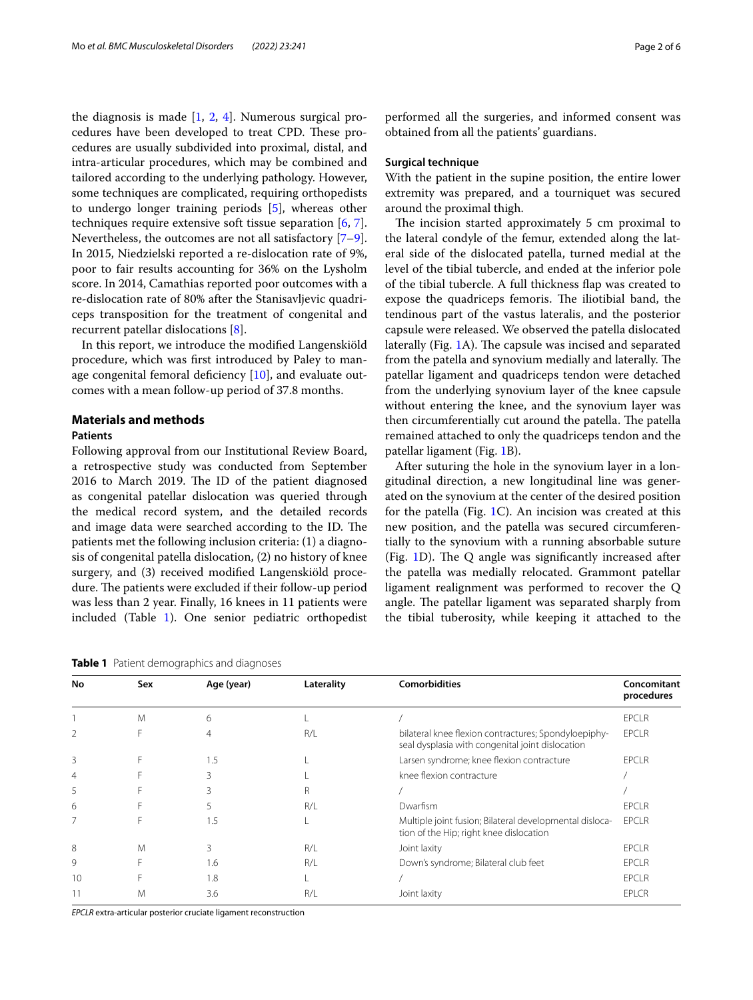the diagnosis is made [[1,](#page-5-0) [2](#page-5-1), [4](#page-5-2)]. Numerous surgical procedures have been developed to treat CPD. These procedures are usually subdivided into proximal, distal, and intra-articular procedures, which may be combined and tailored according to the underlying pathology. However, some techniques are complicated, requiring orthopedists to undergo longer training periods [\[5](#page-5-3)], whereas other techniques require extensive soft tissue separation [\[6](#page-5-4), [7](#page-5-5)]. Nevertheless, the outcomes are not all satisfactory [\[7](#page-5-5)[–9](#page-5-6)]. In 2015, Niedzielski reported a re-dislocation rate of 9%, poor to fair results accounting for 36% on the Lysholm score. In 2014, Camathias reported poor outcomes with a re-dislocation rate of 80% after the Stanisavljevic quadriceps transposition for the treatment of congenital and recurrent patellar dislocations [[8\]](#page-5-7).

In this report, we introduce the modifed Langenskiöld procedure, which was frst introduced by Paley to manage congenital femoral deficiency  $[10]$  $[10]$  $[10]$ , and evaluate outcomes with a mean follow-up period of 37.8 months.

## **Materials and methods**

## **Patients**

Following approval from our Institutional Review Board, a retrospective study was conducted from September 2016 to March 2019. The ID of the patient diagnosed as congenital patellar dislocation was queried through the medical record system, and the detailed records and image data were searched according to the ID. The patients met the following inclusion criteria: (1) a diagnosis of congenital patella dislocation, (2) no history of knee surgery, and (3) received modifed Langenskiöld procedure. The patients were excluded if their follow-up period was less than 2 year. Finally, 16 knees in 11 patients were included (Table [1](#page-1-0)). One senior pediatric orthopedist

<span id="page-1-0"></span>**Table 1** Patient demographics and diagnoses

performed all the surgeries, and informed consent was obtained from all the patients' guardians.

## **Surgical technique**

With the patient in the supine position, the entire lower extremity was prepared, and a tourniquet was secured around the proximal thigh.

The incision started approximately 5 cm proximal to the lateral condyle of the femur, extended along the lateral side of the dislocated patella, turned medial at the level of the tibial tubercle, and ended at the inferior pole of the tibial tubercle. A full thickness fap was created to expose the quadriceps femoris. The iliotibial band, the tendinous part of the vastus lateralis, and the posterior capsule were released. We observed the patella dislocated laterally (Fig. [1](#page-2-0)A). The capsule was incised and separated from the patella and synovium medially and laterally. The patellar ligament and quadriceps tendon were detached from the underlying synovium layer of the knee capsule without entering the knee, and the synovium layer was then circumferentially cut around the patella. The patella remained attached to only the quadriceps tendon and the patellar ligament (Fig. [1B](#page-2-0)).

After suturing the hole in the synovium layer in a longitudinal direction, a new longitudinal line was generated on the synovium at the center of the desired position for the patella (Fig. [1C](#page-2-0)). An incision was created at this new position, and the patella was secured circumferentially to the synovium with a running absorbable suture (Fig.  $1D$ ). The Q angle was significantly increased after the patella was medially relocated. Grammont patellar ligament realignment was performed to recover the Q angle. The patellar ligament was separated sharply from the tibial tuberosity, while keeping it attached to the

| No<br>Sex |   | Age (year) | Laterality | <b>Comorbidities</b>                                                                                     | Concomitant<br>procedures |  |
|-----------|---|------------|------------|----------------------------------------------------------------------------------------------------------|---------------------------|--|
|           |   |            |            |                                                                                                          |                           |  |
|           | M | 6          |            |                                                                                                          | <b>EPCLR</b>              |  |
| 2         | F | 4          | R/I        | bilateral knee flexion contractures; Spondyloepiphy-<br>seal dysplasia with congenital joint dislocation | <b>EPCLR</b>              |  |
| 3         | F | 1.5        |            | Larsen syndrome; knee flexion contracture                                                                | <b>EPCLR</b>              |  |
| 4         |   | 3          |            | knee flexion contracture                                                                                 |                           |  |
| 5         |   | ξ          | R          |                                                                                                          |                           |  |
| 6         |   |            | R/I        | Dwarfism                                                                                                 | <b>EPCLR</b>              |  |
| 7         | F | 1.5        |            | Multiple joint fusion; Bilateral developmental disloca-<br>tion of the Hip; right knee dislocation       | <b>EPCLR</b>              |  |
| 8         | M | 3          | R/L        | Joint laxity                                                                                             | <b>EPCLR</b>              |  |
| 9         |   | 1.6        | R/L        | Down's syndrome; Bilateral club feet                                                                     | <b>EPCLR</b>              |  |
| 10        |   | 1.8        |            |                                                                                                          | <b>EPCLR</b>              |  |
|           | M | 3.6        | R/L        | Joint laxity                                                                                             | <b>EPLCR</b>              |  |

*EPCLR* extra-articular posterior cruciate ligament reconstruction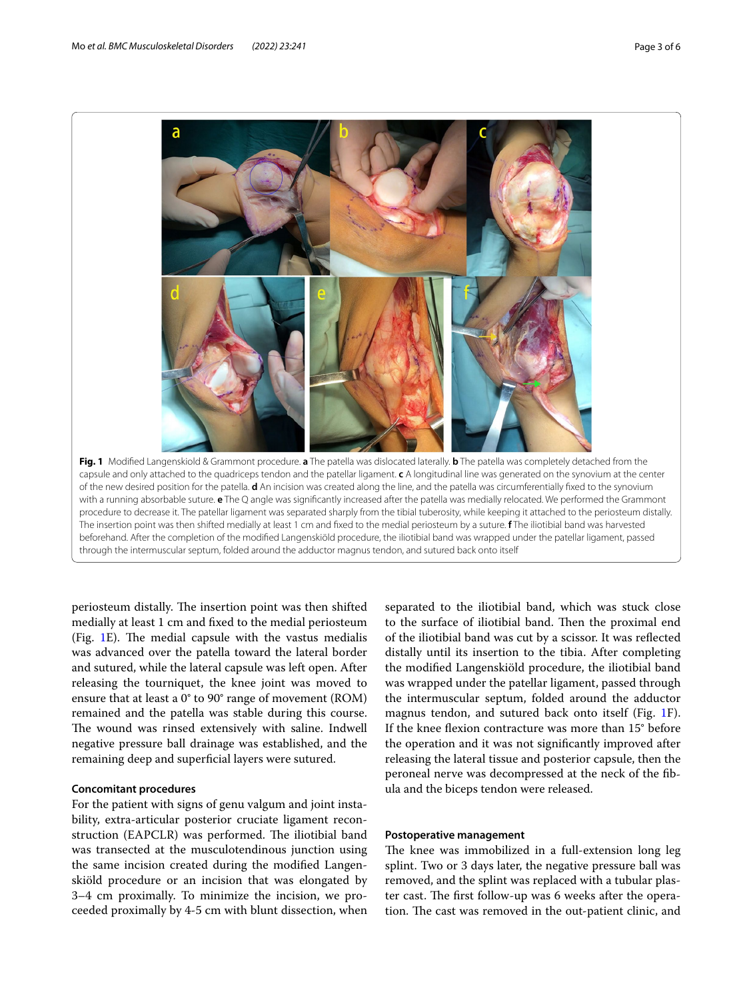

<span id="page-2-0"></span>periosteum distally. The insertion point was then shifted medially at least 1 cm and fxed to the medial periosteum (Fig.  $1E$  $1E$ ). The medial capsule with the vastus medialis was advanced over the patella toward the lateral border and sutured, while the lateral capsule was left open. After releasing the tourniquet, the knee joint was moved to ensure that at least a 0° to 90° range of movement (ROM) remained and the patella was stable during this course. The wound was rinsed extensively with saline. Indwell negative pressure ball drainage was established, and the remaining deep and superficial layers were sutured.

## **Concomitant procedures**

For the patient with signs of genu valgum and joint instability, extra-articular posterior cruciate ligament reconstruction (EAPCLR) was performed. The iliotibial band was transected at the musculotendinous junction using the same incision created during the modifed Langenskiöld procedure or an incision that was elongated by 3–4 cm proximally. To minimize the incision, we proceeded proximally by 4-5 cm with blunt dissection, when

separated to the iliotibial band, which was stuck close to the surface of iliotibial band. Then the proximal end of the iliotibial band was cut by a scissor. It was refected distally until its insertion to the tibia. After completing the modifed Langenskiöld procedure, the iliotibial band was wrapped under the patellar ligament, passed through the intermuscular septum, folded around the adductor magnus tendon, and sutured back onto itself (Fig. [1F](#page-2-0)). If the knee fexion contracture was more than 15° before the operation and it was not signifcantly improved after releasing the lateral tissue and posterior capsule, then the peroneal nerve was decompressed at the neck of the fbula and the biceps tendon were released.

## **Postoperative management**

The knee was immobilized in a full-extension long leg splint. Two or 3 days later, the negative pressure ball was removed, and the splint was replaced with a tubular plaster cast. The first follow-up was 6 weeks after the operation. The cast was removed in the out-patient clinic, and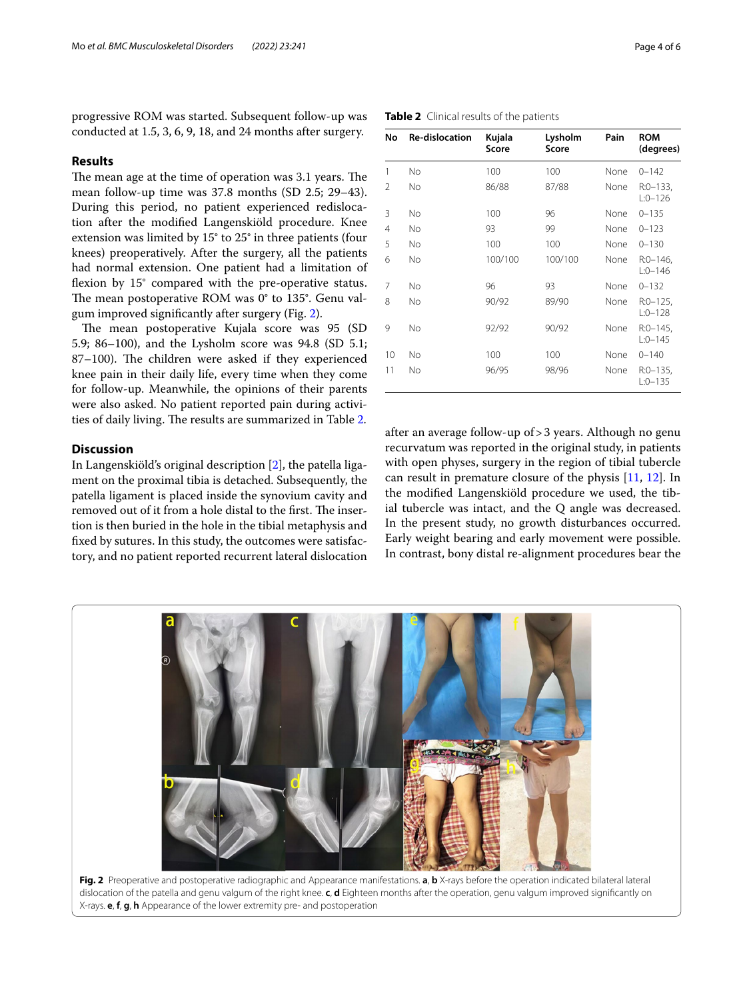progressive ROM was started. Subsequent follow-up was conducted at 1.5, 3, 6, 9, 18, and 24 months after surgery.

## **Results**

The mean age at the time of operation was 3.1 years. The mean follow-up time was 37.8 months (SD 2.5; 29–43). During this period, no patient experienced redislocation after the modifed Langenskiöld procedure. Knee extension was limited by 15° to 25° in three patients (four knees) preoperatively. After the surgery, all the patients had normal extension. One patient had a limitation of flexion by 15° compared with the pre-operative status. The mean postoperative ROM was  $0^{\circ}$  to 135 $^{\circ}$ . Genu valgum improved signifcantly after surgery (Fig. [2\)](#page-3-0).

The mean postoperative Kujala score was 95 (SD 5.9; 86–100), and the Lysholm score was 94.8 (SD 5.1; 87–100). The children were asked if they experienced knee pain in their daily life, every time when they come for follow-up. Meanwhile, the opinions of their parents were also asked. No patient reported pain during activi-ties of daily living. The results are summarized in Table [2.](#page-3-1)

## **Discussion**

In Langenskiöld's original description [\[2](#page-5-1)], the patella ligament on the proximal tibia is detached. Subsequently, the patella ligament is placed inside the synovium cavity and removed out of it from a hole distal to the first. The insertion is then buried in the hole in the tibial metaphysis and fxed by sutures. In this study, the outcomes were satisfactory, and no patient reported recurrent lateral dislocation

| No             | Re-dislocation | Kujala<br>Score | Lysholm<br>Score | Pain | <b>ROM</b><br>(degrees)  |
|----------------|----------------|-----------------|------------------|------|--------------------------|
| 1              | No             | 100             | 100              | None | $0 - 142$                |
| 2              | No             | 86/88           | 87/88            | None | $R:0-133$ ,<br>$L:0-126$ |
| 3              | No             | 100             | 96               | None | $0 - 135$                |
| $\overline{4}$ | No             | 93              | 99               | None | $0 - 123$                |
| 5              | No             | 100             | 100              | None | $0 - 130$                |
| 6              | No             | 100/100         | 100/100          | None | $R:0-146$ ,<br>$L:0-146$ |
| 7              | No             | 96              | 93               | None | $0 - 132$                |
| 8              | No             | 90/92           | 89/90            | None | $R:0-125$ ,<br>$L:0-128$ |
| 9              | No             | 92/92           | 90/92            | None | $R:0-145$ ,<br>$L:0-145$ |
| 10             | No             | 100             | 100              | None | $0 - 140$                |
| 11             | No             | 96/95           | 98/96            | None | $R:0-135$ ,<br>$L:0-135$ |

<span id="page-3-1"></span>**Table 2** Clinical results of the patients

after an average follow-up of>3 years. Although no genu recurvatum was reported in the original study, in patients with open physes, surgery in the region of tibial tubercle can result in premature closure of the physis [\[11](#page-5-9), [12](#page-5-10)]. In the modifed Langenskiöld procedure we used, the tibial tubercle was intact, and the Q angle was decreased. In the present study, no growth disturbances occurred. Early weight bearing and early movement were possible. In contrast, bony distal re-alignment procedures bear the

<span id="page-3-0"></span>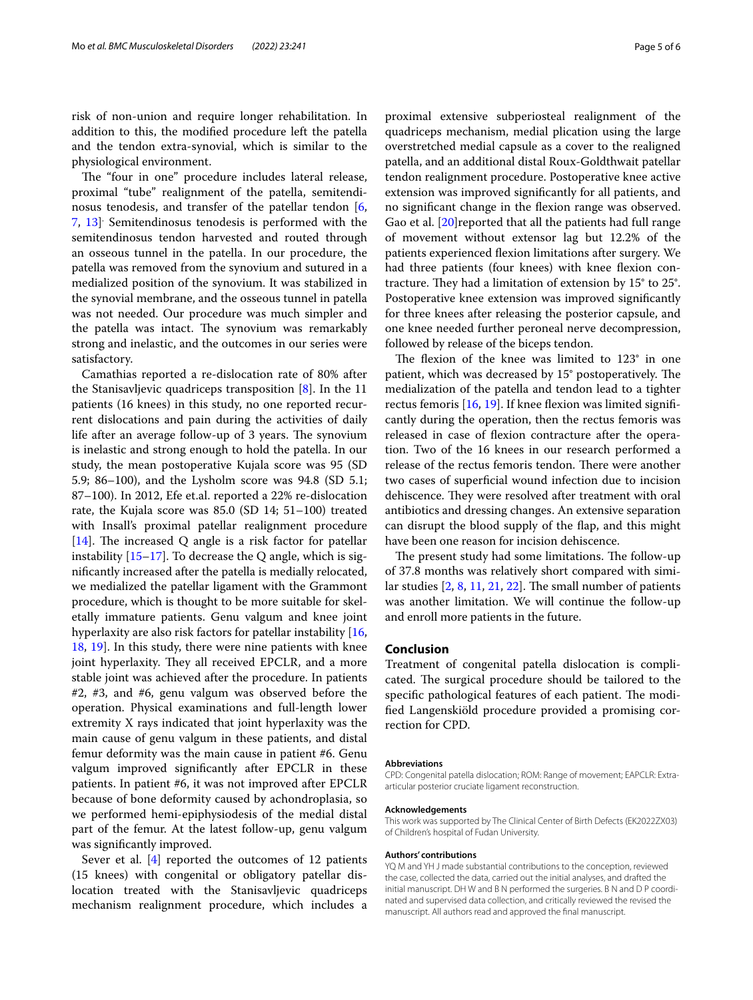risk of non-union and require longer rehabilitation. In addition to this, the modifed procedure left the patella and the tendon extra-synovial, which is similar to the physiological environment.

The "four in one" procedure includes lateral release, proximal "tube" realignment of the patella, semitendinosus tenodesis, and transfer of the patellar tendon [\[6](#page-5-4), [7,](#page-5-5) [13\]](#page-5-11) . Semitendinosus tenodesis is performed with the semitendinosus tendon harvested and routed through an osseous tunnel in the patella. In our procedure, the patella was removed from the synovium and sutured in a medialized position of the synovium. It was stabilized in the synovial membrane, and the osseous tunnel in patella was not needed. Our procedure was much simpler and the patella was intact. The synovium was remarkably strong and inelastic, and the outcomes in our series were satisfactory.

Camathias reported a re-dislocation rate of 80% after the Stanisavljevic quadriceps transposition [\[8](#page-5-7)]. In the 11 patients (16 knees) in this study, no one reported recurrent dislocations and pain during the activities of daily life after an average follow-up of 3 years. The synovium is inelastic and strong enough to hold the patella. In our study, the mean postoperative Kujala score was 95 (SD 5.9; 86–100), and the Lysholm score was 94.8 (SD 5.1; 87–100). In 2012, Efe et.al. reported a 22% re-dislocation rate, the Kujala score was 85.0 (SD 14; 51–100) treated with Insall's proximal patellar realignment procedure [[14\]](#page-5-12). The increased Q angle is a risk factor for patellar instability  $[15-17]$  $[15-17]$  $[15-17]$ . To decrease the Q angle, which is signifcantly increased after the patella is medially relocated, we medialized the patellar ligament with the Grammont procedure, which is thought to be more suitable for skeletally immature patients. Genu valgum and knee joint hyperlaxity are also risk factors for patellar instability [\[16](#page-5-15), [18,](#page-5-16) [19\]](#page-5-17). In this study, there were nine patients with knee joint hyperlaxity. They all received EPCLR, and a more stable joint was achieved after the procedure. In patients #2, #3, and #6, genu valgum was observed before the operation. Physical examinations and full-length lower extremity X rays indicated that joint hyperlaxity was the main cause of genu valgum in these patients, and distal femur deformity was the main cause in patient #6. Genu valgum improved signifcantly after EPCLR in these patients. In patient #6, it was not improved after EPCLR because of bone deformity caused by achondroplasia, so we performed hemi-epiphysiodesis of the medial distal part of the femur. At the latest follow-up, genu valgum was signifcantly improved.

Sever et al.  $[4]$  $[4]$  reported the outcomes of 12 patients (15 knees) with congenital or obligatory patellar dislocation treated with the Stanisavljevic quadriceps mechanism realignment procedure, which includes a proximal extensive subperiosteal realignment of the quadriceps mechanism, medial plication using the large overstretched medial capsule as a cover to the realigned patella, and an additional distal Roux-Goldthwait patellar tendon realignment procedure. Postoperative knee active extension was improved signifcantly for all patients, and no signifcant change in the fexion range was observed. Gao et al. [\[20](#page-5-18)]reported that all the patients had full range of movement without extensor lag but 12.2% of the patients experienced fexion limitations after surgery. We had three patients (four knees) with knee flexion contracture. They had a limitation of extension by  $15^{\circ}$  to  $25^{\circ}$ . Postoperative knee extension was improved signifcantly for three knees after releasing the posterior capsule, and one knee needed further peroneal nerve decompression, followed by release of the biceps tendon.

The flexion of the knee was limited to  $123^\circ$  in one patient, which was decreased by  $15^{\circ}$  postoperatively. The medialization of the patella and tendon lead to a tighter rectus femoris [[16,](#page-5-15) [19\]](#page-5-17). If knee flexion was limited significantly during the operation, then the rectus femoris was released in case of fexion contracture after the operation. Two of the 16 knees in our research performed a release of the rectus femoris tendon. There were another two cases of superfcial wound infection due to incision dehiscence. They were resolved after treatment with oral antibiotics and dressing changes. An extensive separation can disrupt the blood supply of the fap, and this might have been one reason for incision dehiscence.

The present study had some limitations. The follow-up of 37.8 months was relatively short compared with similar studies  $[2, 8, 11, 21, 22]$  $[2, 8, 11, 21, 22]$  $[2, 8, 11, 21, 22]$  $[2, 8, 11, 21, 22]$  $[2, 8, 11, 21, 22]$  $[2, 8, 11, 21, 22]$  $[2, 8, 11, 21, 22]$  $[2, 8, 11, 21, 22]$  $[2, 8, 11, 21, 22]$ . The small number of patients was another limitation. We will continue the follow-up and enroll more patients in the future.

## **Conclusion**

Treatment of congenital patella dislocation is complicated. The surgical procedure should be tailored to the specific pathological features of each patient. The modifed Langenskiöld procedure provided a promising correction for CPD.

#### **Abbreviations**

CPD: Congenital patella dislocation; ROM: Range of movement; EAPCLR: Extraarticular posterior cruciate ligament reconstruction.

#### **Acknowledgements**

This work was supported by The Clinical Center of Birth Defects (EK2022ZX03) of Children's hospital of Fudan University.

#### **Authors' contributions**

YQ M and YH J made substantial contributions to the conception, reviewed the case, collected the data, carried out the initial analyses, and drafted the initial manuscript. DH W and B N performed the surgeries. B N and D P coordinated and supervised data collection, and critically reviewed the revised the manuscript. All authors read and approved the fnal manuscript.